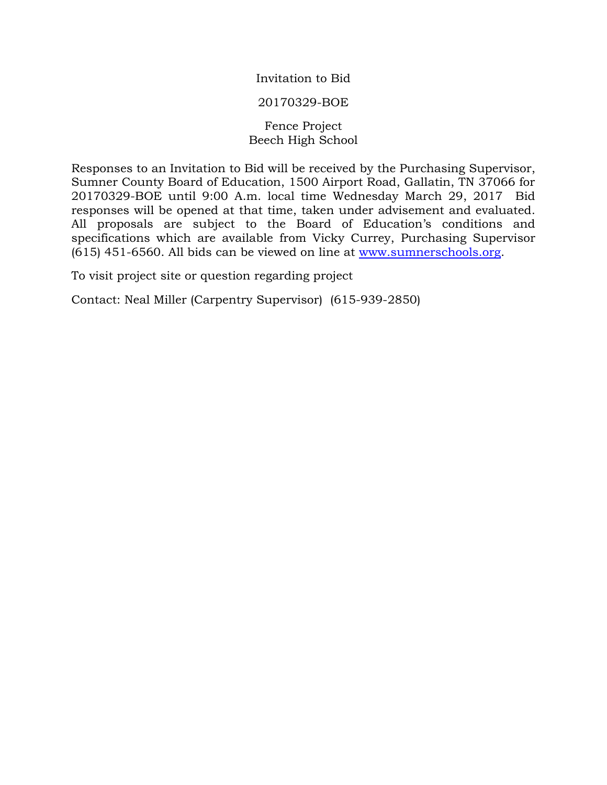Invitation to Bid

### 20170329-BOE

## Fence Project Beech High School

Responses to an Invitation to Bid will be received by the Purchasing Supervisor, Sumner County Board of Education, 1500 Airport Road, Gallatin, TN 37066 for 20170329-BOE until 9:00 A.m. local time Wednesday March 29, 2017 Bid responses will be opened at that time, taken under advisement and evaluated. All proposals are subject to the Board of Education's conditions and specifications which are available from Vicky Currey, Purchasing Supervisor (615) 451-6560. All bids can be viewed on line at [www.sumnerschools.org.](http://www.sumnerschools.org/)

To visit project site or question regarding project

Contact: Neal Miller (Carpentry Supervisor) (615-939-2850)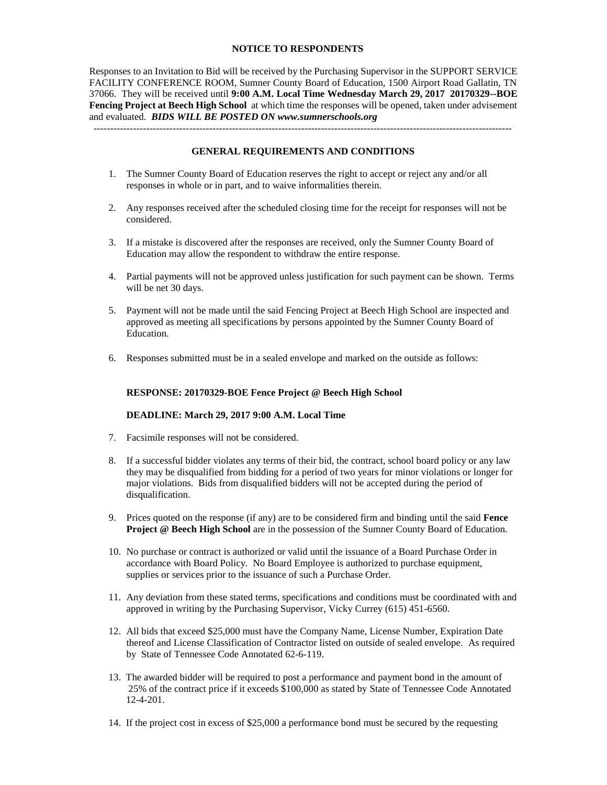#### **NOTICE TO RESPONDENTS**

Responses to an Invitation to Bid will be received by the Purchasing Supervisor in the SUPPORT SERVICE FACILITY CONFERENCE ROOM, Sumner County Board of Education, 1500 Airport Road Gallatin, TN 37066. They will be received until **9:00 A.M. Local Time Wednesday March 29, 2017 20170329--BOE Fencing Project at Beech High School** at which time the responses will be opened, taken under advisement and evaluated. *BIDS WILL BE POSTED ON www.sumnerschools.org*

#### **GENERAL REQUIREMENTS AND CONDITIONS**

-------------------------------------------------------------------------------------------------------------------------------

- 1. The Sumner County Board of Education reserves the right to accept or reject any and/or all responses in whole or in part, and to waive informalities therein.
- 2. Any responses received after the scheduled closing time for the receipt for responses will not be considered.
- 3. If a mistake is discovered after the responses are received, only the Sumner County Board of Education may allow the respondent to withdraw the entire response.
- 4. Partial payments will not be approved unless justification for such payment can be shown. Terms will be net 30 days.
- 5. Payment will not be made until the said Fencing Project at Beech High School are inspected and approved as meeting all specifications by persons appointed by the Sumner County Board of Education.
- 6. Responses submitted must be in a sealed envelope and marked on the outside as follows:

#### **RESPONSE: 20170329-BOE Fence Project @ Beech High School**

#### **DEADLINE: March 29, 2017 9:00 A.M. Local Time**

- 7. Facsimile responses will not be considered.
- 8. If a successful bidder violates any terms of their bid, the contract, school board policy or any law they may be disqualified from bidding for a period of two years for minor violations or longer for major violations. Bids from disqualified bidders will not be accepted during the period of disqualification.
- 9. Prices quoted on the response (if any) are to be considered firm and binding until the said **Fence Project @ Beech High School** are in the possession of the Sumner County Board of Education.
- 10. No purchase or contract is authorized or valid until the issuance of a Board Purchase Order in accordance with Board Policy. No Board Employee is authorized to purchase equipment, supplies or services prior to the issuance of such a Purchase Order.
- 11. Any deviation from these stated terms, specifications and conditions must be coordinated with and approved in writing by the Purchasing Supervisor, Vicky Currey (615) 451-6560.
- 12. All bids that exceed \$25,000 must have the Company Name, License Number, Expiration Date thereof and License Classification of Contractor listed on outside of sealed envelope. As required by State of Tennessee Code Annotated 62-6-119.
- 13. The awarded bidder will be required to post a performance and payment bond in the amount of 25% of the contract price if it exceeds \$100,000 as stated by State of Tennessee Code Annotated 12-4-201.
- 14. If the project cost in excess of \$25,000 a performance bond must be secured by the requesting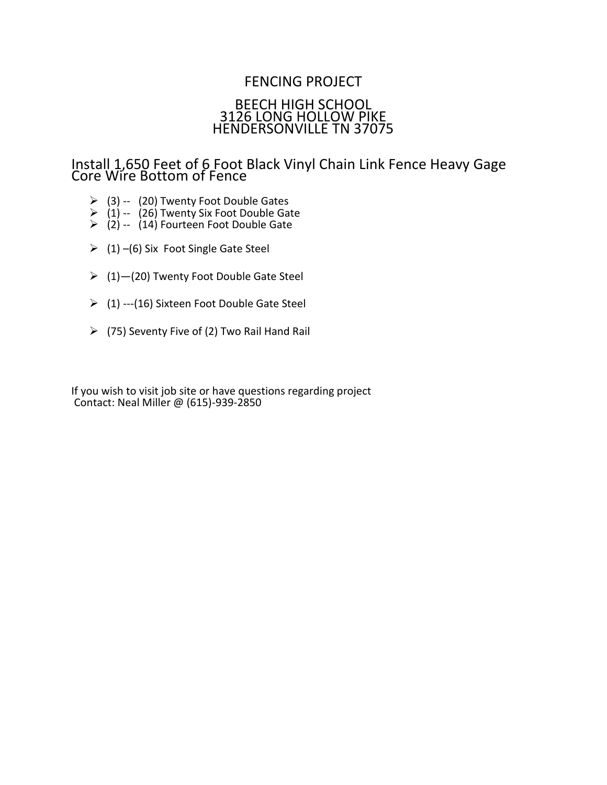# FENCING PROJECT BEECH HIGH SCHOOL 3126 LONG HOLLOW PIKE HENDERSONVILLE TN 37075

Install 1,650 Feet of 6 Foot Black Vinyl Chain Link Fence Heavy Gage Core Wire Bottom of Fence

- $\geq$  (3) -- (20) Twenty Foot Double Gates
- $\geq$  (1) -- (26) Twenty Six Foot Double Gate
- $\geq$  (2) -- (14) Fourteen Foot Double Gate
- $(1)$  –(6) Six Foot Single Gate Steel
- $(1)$  (20) Twenty Foot Double Gate Steel
- $(1)$  ---(16) Sixteen Foot Double Gate Steel
- $(75)$  Seventy Five of (2) Two Rail Hand Rail

If you wish to visit job site or have questions regarding project Contact: Neal Miller @ (615)-939-2850